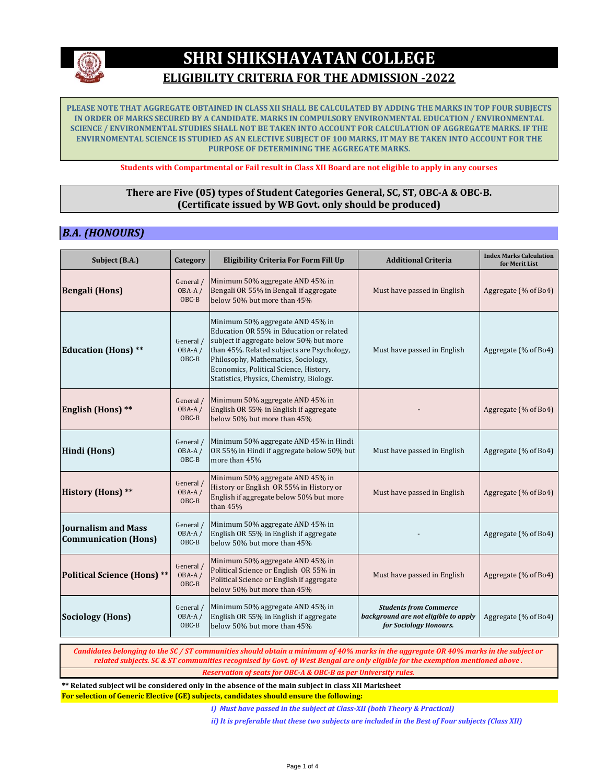

## **ELIGIBILITY CRITERIA FOR THE ADMISSION -2022**

**PLEASE NOTE THAT AGGREGATE OBTAINED IN CLASS XII SHALL BE CALCULATED BY ADDING THE MARKS IN TOP FOUR SUBJECTS IN ORDER OF MARKS SECURED BY A CANDIDATE. MARKS IN COMPULSORY ENVIRONMENTAL EDUCATION / ENVIRONMENTAL SCIENCE / ENVIRONMENTAL STUDIES SHALL NOT BE TAKEN INTO ACCOUNT FOR CALCULATION OF AGGREGATE MARKS. IF THE ENVIRNOMENTAL SCIENCE IS STUDIED AS AN ELECTIVE SUBJECT OF 100 MARKS, IT MAY BE TAKEN INTO ACCOUNT FOR THE PURPOSE OF DETERMINING THE AGGREGATE MARKS.**

**Students with Compartmental or Fail result in Class XII Board are not eligible to apply in any courses**

#### **There are Five (05) types of Student Categories General, SC, ST, OBC-A & OBC-B. (Certificate issued by WB Govt. only should be produced)**

## *B.A. (HONOURS)*

| Subject (B.A.)                                            | Category                       | <b>Eligibility Criteria For Form Fill Up</b>                                                                                                                                                                                                                                                       | <b>Additional Criteria</b>                                                                      | <b>Index Marks Calculation</b><br>for Merit List |
|-----------------------------------------------------------|--------------------------------|----------------------------------------------------------------------------------------------------------------------------------------------------------------------------------------------------------------------------------------------------------------------------------------------------|-------------------------------------------------------------------------------------------------|--------------------------------------------------|
| <b>Bengali (Hons)</b>                                     | General /<br>$OBA-A/$<br>OBC-B | Minimum 50% aggregate AND 45% in<br>Bengali OR 55% in Bengali if aggregate<br>below 50% but more than 45%                                                                                                                                                                                          | Must have passed in English                                                                     | Aggregate (% of Bo4)                             |
| <b>Education (Hons) **</b>                                | General /<br>$OBA-A/$<br>OBC-B | Minimum 50% aggregate AND 45% in<br>Education OR 55% in Education or related<br>subject if aggregate below 50% but more<br>than 45%. Related subjects are Psychology,<br>Philosophy, Mathematics, Sociology,<br>Economics, Political Science, History,<br>Statistics, Physics, Chemistry, Biology. | Must have passed in English                                                                     | Aggregate (% of Bo4)                             |
| <b>English (Hons)</b> **                                  | General /<br>OBA-A/<br>OBC-B   | Minimum 50% aggregate AND 45% in<br>English OR 55% in English if aggregate<br>below 50% but more than 45%                                                                                                                                                                                          |                                                                                                 | Aggregate (% of Bo4)                             |
| Hindi (Hons)                                              | General /<br>OBA-A/<br>OBC-B   | Minimum 50% aggregate AND 45% in Hindi<br>OR 55% in Hindi if aggregate below 50% but<br>more than 45%                                                                                                                                                                                              | Must have passed in English                                                                     | Aggregate (% of Bo4)                             |
| <b>History (Hons)</b> **                                  | General /<br>OBA-A/<br>$OBC-B$ | Minimum 50% aggregate AND 45% in<br>History or English OR 55% in History or<br>English if aggregate below 50% but more<br>than $45%$                                                                                                                                                               | Must have passed in English                                                                     | Aggregate (% of Bo4)                             |
| <b>Journalism and Mass</b><br><b>Communication (Hons)</b> | General /<br>OBA-A/<br>OBC-B   | Minimum 50% aggregate AND 45% in<br>English OR 55% in English if aggregate<br>below 50% but more than 45%                                                                                                                                                                                          |                                                                                                 | Aggregate (% of Bo4)                             |
| <b>Political Science (Hons) **</b>                        | General /<br>OBA-A/<br>$OBC-B$ | Minimum 50% aggregate AND 45% in<br>Political Science or English OR 55% in<br>Political Science or English if aggregate<br>below 50% but more than 45%                                                                                                                                             | Must have passed in English                                                                     | Aggregate (% of Bo4)                             |
| <b>Sociology (Hons)</b>                                   | General /<br>OBA-A/<br>$OBC-B$ | Minimum 50% aggregate AND 45% in<br>English OR 55% in English if aggregate<br>below 50% but more than 45%                                                                                                                                                                                          | <b>Students from Commerce</b><br>background are not eligible to apply<br>for Sociology Honours. | Aggregate (% of Bo4)                             |

*Candidates belonging to the SC / ST communities should obtain a minimum of 40% marks in the aggregate OR 40% marks in the subject or related subjects. SC & ST communities recognised by Govt. of West Bengal are only eligible for the exemption mentioned above .* 

*Reservation of seats for OBC-A & OBC-B as per University rules.*

**For selection of Generic Elective (GE) subjects, candidates should ensure the following: \*\* Related subject wil be considered only in the absence of the main subject in class XII Marksheet**

*i) Must have passed in the subject at Class-XII (both Theory & Practical)*

*ii) It is preferable that these two subjects are included in the Best of Four subjects (Class XII)*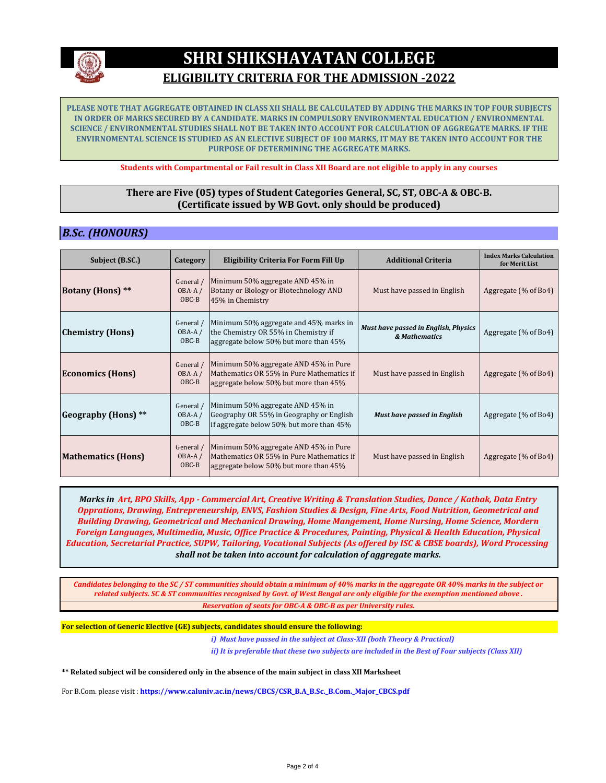

## **ELIGIBILITY CRITERIA FOR THE ADMISSION -2022**

**PLEASE NOTE THAT AGGREGATE OBTAINED IN CLASS XII SHALL BE CALCULATED BY ADDING THE MARKS IN TOP FOUR SUBJECTS IN ORDER OF MARKS SECURED BY A CANDIDATE. MARKS IN COMPULSORY ENVIRONMENTAL EDUCATION / ENVIRONMENTAL SCIENCE / ENVIRONMENTAL STUDIES SHALL NOT BE TAKEN INTO ACCOUNT FOR CALCULATION OF AGGREGATE MARKS. IF THE ENVIRNOMENTAL SCIENCE IS STUDIED AS AN ELECTIVE SUBJECT OF 100 MARKS, IT MAY BE TAKEN INTO ACCOUNT FOR THE PURPOSE OF DETERMINING THE AGGREGATE MARKS.**

**Students with Compartmental or Fail result in Class XII Board are not eligible to apply in any courses**

#### **There are Five (05) types of Student Categories General, SC, ST, OBC-A & OBC-B. (Certificate issued by WB Govt. only should be produced)**

#### *B.Sc. (HONOURS)*

| Subject (B.SC.)           | Category                         | Eligibility Criteria For Form Fill Up                                                                                       | <b>Additional Criteria</b>                            | <b>Index Marks Calculation</b><br>for Merit List |
|---------------------------|----------------------------------|-----------------------------------------------------------------------------------------------------------------------------|-------------------------------------------------------|--------------------------------------------------|
| <b>Botany (Hons)</b> **   | General /<br>$OBA-A/$<br>$OBC-B$ | Minimum 50% aggregate AND 45% in<br>Botany or Biology or Biotechnology AND<br>45% in Chemistry                              | Must have passed in English                           | Aggregate (% of Bo4)                             |
| <b>Chemistry (Hons)</b>   | General /<br>$OBA-A/$<br>$OBC-B$ | Minimum 50% aggregate and 45% marks in<br>the Chemistry OR 55% in Chemistry if<br>aggregate below 50% but more than 45%     | Must have passed in English, Physics<br>& Mathematics | Aggregate (% of Bo4)                             |
| <b>Economics (Hons)</b>   | General /<br>$OBA-A/$<br>$OBC-B$ | Minimum 50% aggregate AND 45% in Pure<br>Mathematics OR 55% in Pure Mathematics if<br>aggregate below 50% but more than 45% | Must have passed in English                           | Aggregate $(\%$ of Bo4)                          |
| Geography (Hons) **       | General /<br>OBA-A/<br>$OBC-B$   | Minimum 50% aggregate AND 45% in<br>Geography OR 55% in Geography or English<br>if aggregate below 50% but more than 45%    | <b>Must have passed in English</b>                    | Aggregate $(\%$ of Bo4)                          |
| <b>Mathematics (Hons)</b> | General /<br>$OBA-A/$<br>OBC-B   | Minimum 50% aggregate AND 45% in Pure<br>Mathematics OR 55% in Pure Mathematics if<br>aggregate below 50% but more than 45% | Must have passed in English                           | Aggregate (% of Bo4)                             |

*Marks in Art, BPO Skills, App - Commercial Art, Creative Writing & Translation Studies, Dance / Kathak, Data Entry Opprations, Drawing, Entrepreneurship, ENVS, Fashion Studies & Design, Fine Arts, Food Nutrition, Geometrical and Building Drawing, Geometrical and Mechanical Drawing, Home Mangement, Home Nursing, Home Science, Mordern Foreign Languages, Multimedia, Music, Office Practice & Procedures, Painting, Physical & Health Education, Physical Education, Secretarial Practice, SUPW, Tailoring, Vocational Subjects (As offered by ISC & CBSE boards), Word Processing shall not be taken into account for calculation of aggregate marks.*

*Candidates belonging to the SC / ST communities should obtain a minimum of 40% marks in the aggregate OR 40% marks in the subject or related subjects. SC & ST communities recognised by Govt. of West Bengal are only eligible for the exemption mentioned above . Reservation of seats for OBC-A & OBC-B as per University rules.*

**For selection of Generic Elective (GE) subjects, candidates should ensure the following:**

*i) Must have passed in the subject at Class-XII (both Theory & Practical)*

*ii) It is preferable that these two subjects are included in the Best of Four subjects (Class XII)*

**\*\* Related subject wil be considered only in the absence of the main subject in class XII Marksheet**

For B.Com. please visit : **https://www.caluniv.ac.in/news/CBCS/CSR\_B.A\_B.Sc.\_B.Com.\_Major\_CBCS.pdf**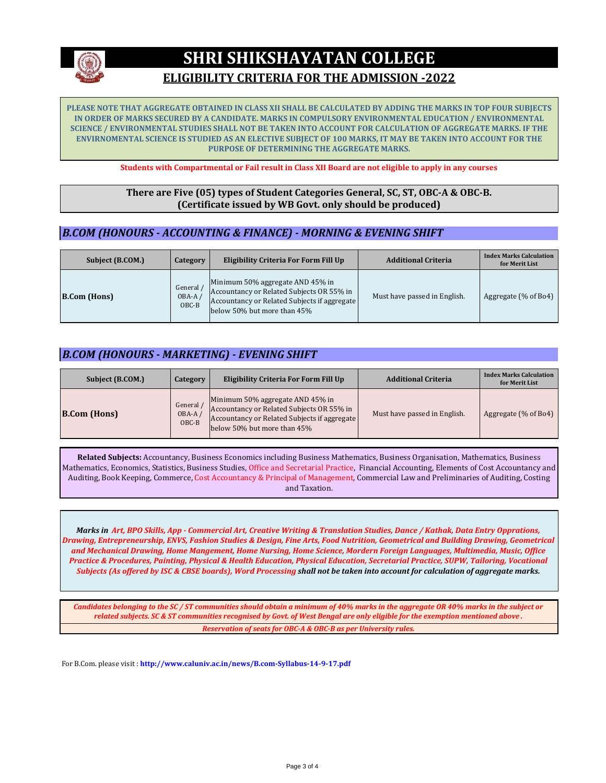

## **ELIGIBILITY CRITERIA FOR THE ADMISSION -2022**

**PLEASE NOTE THAT AGGREGATE OBTAINED IN CLASS XII SHALL BE CALCULATED BY ADDING THE MARKS IN TOP FOUR SUBJECTS IN ORDER OF MARKS SECURED BY A CANDIDATE. MARKS IN COMPULSORY ENVIRONMENTAL EDUCATION / ENVIRONMENTAL SCIENCE / ENVIRONMENTAL STUDIES SHALL NOT BE TAKEN INTO ACCOUNT FOR CALCULATION OF AGGREGATE MARKS. IF THE ENVIRNOMENTAL SCIENCE IS STUDIED AS AN ELECTIVE SUBJECT OF 100 MARKS, IT MAY BE TAKEN INTO ACCOUNT FOR THE PURPOSE OF DETERMINING THE AGGREGATE MARKS.**

**Students with Compartmental or Fail result in Class XII Board are not eligible to apply in any courses**

#### **There are Five (05) types of Student Categories General, SC, ST, OBC-A & OBC-B. (Certificate issued by WB Govt. only should be produced)**

#### *B.COM (HONOURS - ACCOUNTING & FINANCE) - MORNING & EVENING SHIFT*

| Subject (B.COM.)    | Category                       | Eligibility Criteria For Form Fill Up                                                                                                                        | <b>Additional Criteria</b>   | <b>Index Marks Calculation</b><br>for Merit List |
|---------------------|--------------------------------|--------------------------------------------------------------------------------------------------------------------------------------------------------------|------------------------------|--------------------------------------------------|
| <b>B.Com</b> (Hons) | General<br>$OBA-A/$<br>$OBC-B$ | Minimum 50% aggregate AND 45% in<br>Accountancy or Related Subjects OR 55% in<br>Accountancy or Related Subjects if aggregate<br>below 50% but more than 45% | Must have passed in English. | Aggregate (% of Bo4)                             |

#### *B.COM (HONOURS - MARKETING) - EVENING SHIFT*

| Subject (B.COM.)    | Category                       | Eligibility Criteria For Form Fill Up                                                                                                                        | <b>Additional Criteria</b>   | <b>Index Marks Calculation</b><br>for Merit List |
|---------------------|--------------------------------|--------------------------------------------------------------------------------------------------------------------------------------------------------------|------------------------------|--------------------------------------------------|
| <b>B.Com</b> (Hons) | General<br>$OBA-A/$<br>$OBC-B$ | Minimum 50% aggregate AND 45% in<br>Accountancy or Related Subjects OR 55% in<br>Accountancy or Related Subjects if aggregate<br>below 50% but more than 45% | Must have passed in English. | Aggregate (% of Bo4)                             |

**Related Subjects:** Accountancy, Business Economics including Business Mathematics, Business Organisation, Mathematics, Business Mathematics, Economics, Statistics, Business Studies, Office and Secretarial Practice, Financial Accounting, Elements of Cost Accountancy and Auditing, Book Keeping, Commerce, Cost Accountancy & Principal of Management, Commercial Law and Preliminaries of Auditing, Costing and Taxation.

*Marks in Art, BPO Skills, App - Commercial Art, Creative Writing & Translation Studies, Dance / Kathak, Data Entry Opprations, Drawing, Entrepreneurship, ENVS, Fashion Studies & Design, Fine Arts, Food Nutrition, Geometrical and Building Drawing, Geometrical and Mechanical Drawing, Home Mangement, Home Nursing, Home Science, Mordern Foreign Languages, Multimedia, Music, Office Practice & Procedures, Painting, Physical & Health Education, Physical Education, Secretarial Practice, SUPW, Tailoring, Vocational Subjects (As offered by ISC & CBSE boards), Word Processing shall not be taken into account for calculation of aggregate marks.*

*Candidates belonging to the SC / ST communities should obtain a minimum of 40% marks in the aggregate OR 40% marks in the subject or related subjects. SC & ST communities recognised by Govt. of West Bengal are only eligible for the exemption mentioned above . Reservation of seats for OBC-A & OBC-B as per University rules.*

For B.Com. please visit : **http://www.caluniv.ac.in/news/B.com-Syllabus-14-9-17.pdf**